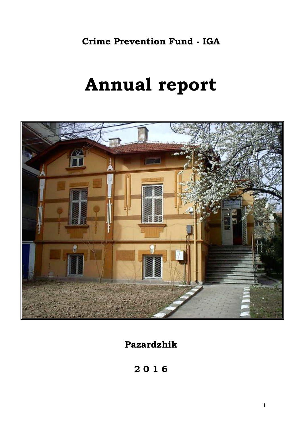# **Crime Prevention Fund - IGA**

# **Annual report**



**Pazardzhik**

**2 0 1 6**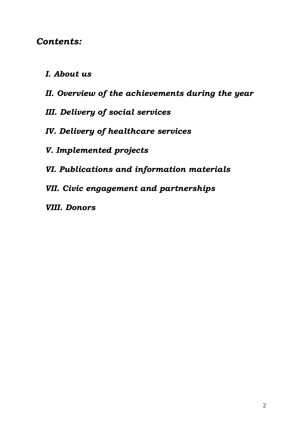# *Contents:*

- *І. About us*
- *ІІ. Overview of the achievements during the year*
- *ІII. Delivery of social services*
- *IV. Delivery of healthcare services*
- *V. Implemented projects*
- *VI. Publications and information materials*
- *VІI. Civic engagement and partnerships*
- *VІІI. Donors*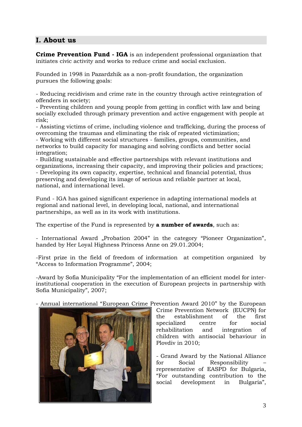# **І. About us**

**Crime Prevention Fund - IGA** is an independent professional organization that initiates civic activity and works to reduce crime and social exclusion.

Founded in 1998 in Pazardzhik as a non-profit foundation, the organization pursues the following goals:

- Reducing recidivism and crime rate in the country through active reintegration of offenders in society;

- Preventing children and young people from getting in conflict with law and being socially excluded through primary prevention and active engagement with people at risk;

- Assisting victims of crime, including violence and trafficking, during the process of overcoming the traumas and eliminating the risk of repeated victimization;

- Working with different social structures - families, groups, communities, and networks to build capacity for managing and solving conflicts and better social integration;

- Building sustainable and effective partnerships with relevant institutions and organizations, increasing their capacity, and improving their policies and practices;

- Developing its own capacity, expertise, technical and financial potential, thus preserving and developing its image of serious and reliable partner at local, national, and international level.

Fund - IGA has gained significant experience in adapting international models at regional and national level, in developing local, national, and international partnerships, as well as in its work with institutions.

The expertise of the Fund is represented by **a number of awards**, such as:

- International Award "Probation 2004" in the category "Pioneer Organization", handed by Her Loyal Highness Princess Anne on 29.01.2004;

-First prize in the field of freedom of information at competition organized by "Access to Information Programme", 2004;

-Award by Sofia Municipality "For the implementation of an efficient model for interinstitutional cooperation in the execution of European projects in partnership with Sofia Municipality", 2007;

- Annual international "European Crime Prevention Award 2010" by the European



Crime Prevention Network (EUCPN) for the establishment of the first specialized centre for social rehabilitation and integration of children with antisocial behaviour in Plovdiv in 2010;

- Grand Award by the National Alliance for Social Responsibility – representative of EASPD for Bulgaria, "For outstanding contribution to the social development in Bulgaria",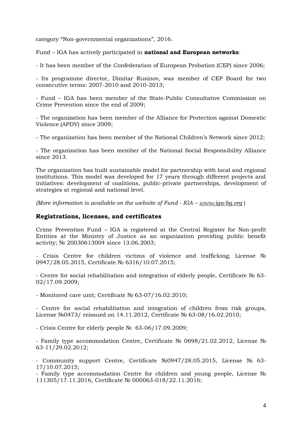category "Non-governmental organizations", 2016.

Fund – IGA has actively participated in **national and European networks**:

- It has been member of the Confederation of European Probation (CEP) since 2006;

- Its programme director, Dimitar Rusinov, was member of CEP Board for two consecutive terms: 2007-2010 and 2010-2013;

- Fund – IGA has been member of the State-Public Consultative Commission on Crime Prevention since the end of 2009;

- The organization has been member of the Alliance for Protection against Domestic Violence (APDV) since 2009;

- The organization has been member of the National Children's Network since 2012;

- The organization has been member of the National Social Responsibility Alliance since 2013.

The organization has built sustainable model for partnership with local and regional institutions. This model was developed for 17 years through different projects and initiatives: development of coalitions, public-private partnerships, development of strategies at regional and national level.

*(More information is available on the website of Fund - IGA – [www.iga-bg.org](http://www.iga-bg.org/)* )

#### **Registrations, licenses, and certificates**

Crime Prevention Fund – IGA is registered at the Central Register for Non-profit Entities at the Ministry of Justice as an organization providing public benefit activity; № 20030613004 since 13.06.2003;

- Crisis Centre for children victims of violence and trafficking; License № 0947/28.05.2015, Certificate № 6316/10.07.2015;

- Centre for social rehabilitation and integration of elderly people, Certificate № 63- 02/17.09.2009;

- Monitored care unit; Certificate № 63-07/16.02.2010;

- Centre for social rehabilitation and integration of children from risk groups, License №0473/ reissued on 14.11.2012, Certificate № 63-08/16.02.2010;

- Crisis Centre for elderly people № 63-06/17.09.2009;

- Family type accommodation Centre, Certificate № 0698/21.02.2012, License № 63-11/29.02.2012;

- Community support Centre, Certificate №0947/28.05.2015, License № 63- 17/10.07.2015;

- Family type accommodation Centre for children and young people, License № 111305/17.11.2016, Certificate № 000063-018/22.11.2016;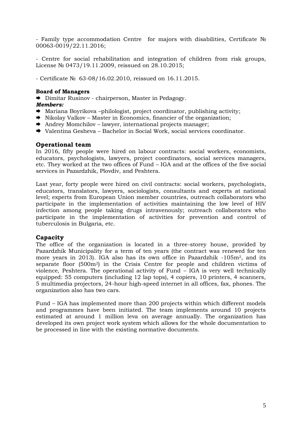- Family type accommodation Centre for majors with disabilities, Certificate № 00063-0019/22.11.2016;

- Centre for social rehabilitation and integration of children from risk groups, License № 0473/19.11.2009, reissued on 28.10.2015;

- Certificate № 63-08/16.02.2010, reissued on 16.11.2015.

#### **Board of Managers**

Dimitar Rusinov - chairperson, Master in Pedagogy.

#### *Members:*

- $\rightarrow$  Mariana Boyrikova –philologist, project coordinator, publishing activity;
- $\rightarrow$  Nikolay Valkov Master in Economics, financier of the organization;
- ◆ Andrey Momchilov lawyer, international projects manager;
- $\rightarrow$  Valentina Gesheva Bachelor in Social Work, social services coordinator.

#### **Operational team**

In 2016, fifty people were hired on labour contracts: social workers, economists, educators, psychologists, lawyers, project coordinators, social services managers, etc. They worked at the two offices of Fund – IGA and at the offices of the five social services in Pazardzhik, Plovdiv, and Peshtera.

Last year, forty people were hired on civil contracts: social workers, psychologists, educators, translators, lawyers, sociologists, consultants and experts at national level; experts from European Union member countries, outreach collaborators who participate in the implementation of activities maintaining the low level of HIV infection among people taking drugs intravenously; outreach collaborators who participate in the implementation of activities for prevention and control of tuberculosis in Bulgaria, etc.

## **Capacity**

The office of the organization is located in a three-storey house, provided by Pazardzhik Municipality for a term of ten years (the contract was renewed for ten more years in 2013). IGA also has its own office in Pazardzhik -105m2, and its separate floor (500m2) in the Crisis Centre for people and children victims of violence, Peshtera. The operational activity of Fund – IGA is very well technically equipped: 55 computers (including 12 lap tops), 4 copiers, 10 printers, 4 scanners, 5 multimedia projectors, 24-hour high-speed internet in all offices, fax, phones. The organization also has two cars.

Fund – IGA has implemented more than 200 projects within which different models and programmes have been initiated. The team implements around 10 projects estimated at around 1 million leva on average annually. The organization has developed its own project work system which allows for the whole documentation to be processed in line with the existing normative documents.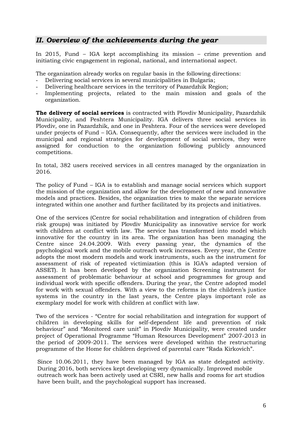# *ІІ. Overview of the achievements during the year*

In 2015, Fund – IGA kept accomplishing its mission – crime prevention and initiating civic engagement in regional, national, and international aspect.

The organization already works on regular basis in the following directions:

- Delivering social services in several municipalities in Bulgaria;
- Delivering healthcare services in the territory of Pazardzhik Region;
- Implementing projects, related to the main mission and goals of the organization.

**The delivery of social services** is contracted with Plovdiv Municipality, Pazardzhik Municipality, and Peshtera Municipality. IGA delivers three social services in Plovdiv, one in Pazardzhik, and one in Peshtera. Four of the services were developed under projects of Fund – IGA. Consequently, after the services were included in the municipal and regional strategies for development of social services, they were assigned for conduction to the organization following publicly announced competitions.

In total, 382 users received services in all centres managed by the organization in 2016.

The policy of Fund – IGA is to establish and manage social services which support the mission of the organization and allow for the development of new and innovative models and practices. Besides, the organization tries to make the separate services integrated within one another and further facilitated by its projects and initiatives.

One of the services (Centre for social rehabilitation and integration of children from risk groups) was initiated by Plovdiv Municipality as innovative service for work with children at conflict with law. The service has transformed into model which innovative for the country in its area. The organization has been managing the Centre since 24.04.2009. With every passing year, the dynamics of the psychological work and the mobile outreach work increases. Every year, the Centre adopts the most modern models and work instruments, such as the instrument for assessment of risk of repeated victimization (this is IGA's adapted version of ASSET). It has been developed by the organization Screening instrument for assessment of problematic behaviour at school and programmes for group and individual work with specific offenders. During the year, the Centre adopted model for work with sexual offenders. With a view to the reforms in the children's justice systems in the country in the last years, the Centre plays important role as exemplary model for work with children at conflict with law.

Two of the services - "Centre for social rehabilitation and integration for support of children in developing skills for self-dependent life and prevention of risk behaviour" and "Monitored care unit" in Plovdiv Municipality, were created under project of Operational Programme "Human Resources Development" 2007-2013 in the period of 2009-2011. The services were developed within the restructuring programme of the Home for children deprived of parental care "Rada Kirkovich".

Since 10.06.2011, they have been managed by IGA as state delegated activity. During 2016, both services kept developing very dynamically. Improved mobile outreach work has been actively used at CSRI, new halls and rooms for art studios have been built, and the psychological support has increased.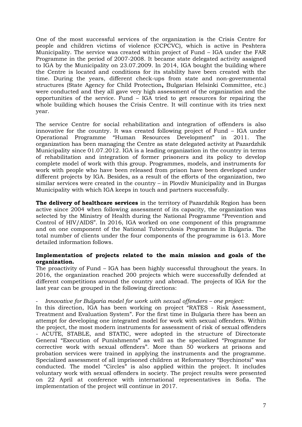One of the most successful services of the organization is the Crisis Centre for people and children victims of violence (CCPCVC), which is active in Peshtera Municipality. The service was created within project of Fund – IGA under the FAR Programme in the period of 2007-2008. It became state delegated activity assigned to IGA by the Municipality on 23.07.2009. In 2014, IGA bought the building where the Centre is located and conditions for its stability have been created with the time. During the years, different check-ups from state and non-governmental structures (State Agency for Child Protection**,** Bulgarian Helsinki Committee, etc.) were conducted and they all gave very high assessment of the organization and the opportunities of the service. Fund – IGA tried to get resources for repairing the whole building which houses the Crisis Centre. It will continue with its tries next year.

The service Centre for social rehabilitation and integration of offenders is also innovative for the country. It was created following project of Fund – IGA under Operational Programme "Human Resources Development" in 2011. The organization has been managing the Centre as state delegated activity at Pazardzhik Municipality since 01.07.2012. IGA is a leading organization in the country in terms of rehabilitation and integration of former prisoners and its policy to develop complete model of work with this group. Programmes, models, and instruments for work with people who have been released from prison have been developed under different projects by IGA. Besides, as a result of the efforts of the organization, two similar services were created in the country – in Plovdiv Municipality and in Burgas Municipality with which IGA keeps in touch and partners successfully.

**The delivery of healthcare services** in the territory of Pazardzhik Region has been active since 2004 when following assessment of its capacity, the organization was selected by the Ministry of Health during the National Programme "Prevention and Control of HIV/AIDS". In 2016, IGA worked on one component of this programme and on one component of the National Tuberculosis Programme in Bulgaria. The total number of clients under the four components of the programme is 613. More detailed information follows.

## **Implementation of projects related to the main mission and goals of the organization.**

The proactivity of Fund – IGA has been highly successful throughout the years. In 2016, the organization reached 200 projects which were successfully defended at different competitions around the country and abroad. The projects of IGA for the last year can be grouped in the following directions:

## - *Innovative for Bulgaria model for work with sexual offenders – one project:*

In this direction, IGA has been working on project "RATES - Risk Assessment, Treatment and Evaluation System". For the first time in Bulgaria there has been an attempt for developing one integrated model for work with sexual offenders. Within the project, the most modern instruments for assessment of risk of sexual offenders - ACUTE, STABLE, and STATIC, were adopted in the structure of Directorate General "Execution of Punishments" as well as the specialized "Programme for corrective work with sexual offenders". More than 50 workers at prisons and probation services were trained in applying the instruments and the programme. Specialized assessment of all imprisoned children at Reformatory "Boychinotsi" was conducted. The model "Circles" is also applied within the project. It includes voluntary work with sexual offenders in society. The project results were presented on 22 April at conference with international representatives in Sofia. The implementation of the project will continue in 2017.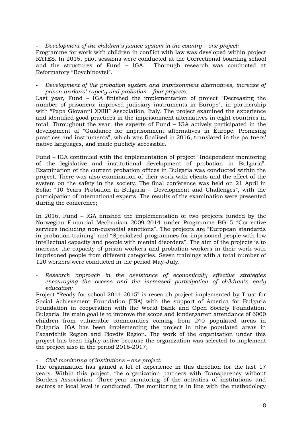#### - *Development of the children's justice system in the country – one project:*

Programme for work with children in conflict with law was developed within project RATES. In 2015, pilot sessions were conducted at the Correctional boarding school and the structures of Fund – IGA. Thorough research was conducted at Reformatory "Boychinovtsi".

- *Development of the probation system and imprisonment alternatives, increase of prison workers' capcity and probation – four projects:*

Last year, Fund – IGA finished the implementation of project "Decreasing the number of prisoners: improved judiciary instruments in Europe", in partnership with "Papa Giovanni XXIII" Association, Italy. The project examined the experience and identified good practices in the imprisonment alternatives in eight countries in total. Throughout the year, the experts of Fund – IGA actively participated in the development of "Guidance for imprisonment alternatives in Europe: Promising practices and instruments", which was finalized in 2016, translated in the partners' native languages, and made publicly accessible.

Fund – IGA continued with the implementation of project "Independent monitoring of the legislative and institutional development of probation in Bulgaria". Examination of the current probation offices in Bulgaria was conducted within the project. There was also examination of their work with clients and the effect of the system on the safety in the society. The final conference was held on 21 April in Sofia: "10 Years Probation in Bulgaria – Development and Challenges", with the participation of international experts. The results of the examination were presented during the conference;

In 2016, Fund – IGA finished the implementation of two projects funded by the Norwegian Financial Mechanism 2009-2014 under Programme BG15 "Corrective services including non-custodial sanctions". The projects are "European standards in probation training" and "Specialized programmes for imprisoned people with low intellectual capacity and people with mental disorders". The aim of the projects is to increase the capacity of prison workers and probation workers in their work with imprisoned people from different categories. Seven trainings with a total number of 120 workers were conducted in the period May-July.

- *Research approach in the assistance of economically effective strategies encouraging the access and the increased participation of children's early education:*

Project "Ready for school 2014-2015" is research project implemented by Trust for Social Achievement Foundation (TSA) with the support of America for Bulgaria Foundation in cooperation with the World Bank and Open Society Foundation, Bulgaria. Its main goal is to improve the scope and kindergarten attendance of 6000 children from vulnerable communities coming from 240 populated areas in Bulgaria. IGA has been implementing the project in nine populated areas in Pazardzhik Region and Plovdiv Region. The work of the organization under this project has been highly active because the organization was selected to implement the project also in the period 2016-2017;

#### - *Civil monitoring of institutions – one project:*

The organization has gained a lot of experience in this direction for the last 17 years. Within this project, the organization partners with Transparency without Borders Association. Three-year monitoring of the activities of institutions and sectors at local level is conducted. The monitoring is in line with the methodology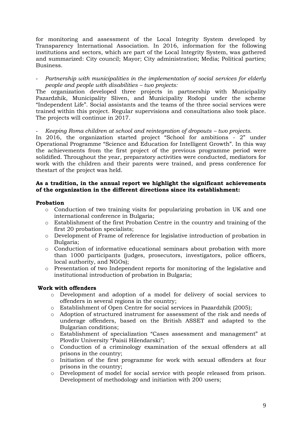for monitoring and assessment of the Local Integrity System developed by Transparency International Association. In 2016, information for the following institutions and sectors, which are part of the Local Integrity System, was gathered and summarized: City council; Mayor; City administration; Media; Political parties; Business.

- *Partnership with municipalities in the implementation of social services for elderly people and people with disabilities – two projects:* 

The organization developed three projects in partnership with Municipality Pazardzhik, Municipality Sliven, and Municipality Rodopi under the scheme "Independent Life". Social assistants and the teams of the three social services were trained within this project. Regular supervisions and consultations also took place. The projects will continue in 2017.

- *Keeping Roma children at school and reintegration of dropouts – two projects.* 

In 2016, the organization started project "School for ambitions - 2" under Operational Programme "Science and Education for Intelligent Growth". In this way the achievements from the first project of the previous programme period were solidified. Throughout the year, preparatory activities were conducted, mediators for work with the children and their parents were trained, and press conference for thestart of the project was held.

## **As a tradition, in the annual report we highlight the significant achievements of the organization in the different directions since its establishment:**

#### **Probation**

- $\circ$  Conduction of two training visits for popularizing probation in UK and one international conference in Bulgaria;
- o Establishment of the first Probation Centre in the country and training of the first 20 probation specialists;
- o Development of Frame of reference for legislative introduction of probation in Bulgaria;
- $\circ$  Conduction of informative educational seminars about probation with more than 1000 participants (judges, prosecutors, investigators, police officers, local authority, and NGOs);
- o Presentation of two Independent reports for monitoring of the legislative and institutional introduction of probation in Bulgaria;

## **Work with offenders**

- o Development and adoption of a model for delivery of social services to offenders in several regions in the country;
- o Establishment of Open Centre for social services in Pazardzhik (2005);
- o Adoption of structured instrument for assessment of the risk and needs of underage offenders, based on the British ASSET and adapted to the Bulgarian conditions;
- o Establishment of specialization "Cases assessment and management" at Plovdiv University "Paisii Hilendarski";
- o Conduction of a criminology examination of the sexual offenders at all prisons in the country;
- o Initiation of the first programme for work with sexual offenders at four prisons in the country;
- o Development of model for social service with people released from prison. Development of methodology and initiation with 200 users;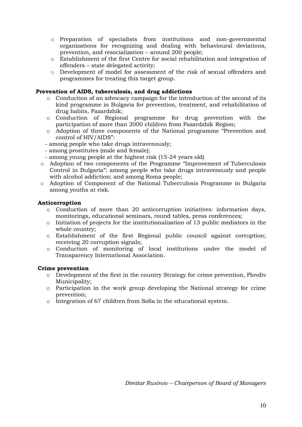- o Preparation of specialists from institutions and non-governmental organizations for recognizing and dealing with behavioural deviations, prevention, and resocialization – around 200 people;
- o Establishment of the first Centre for social rehabilitation and integration of offenders – state delegated activity;
- o Development of model for assessment of the risk of sexual offenders and programmes for treating this target group.

# **Prevention of AIDS, tuberculosis, and drug addictions**

- o Conduction of an advocacy campaign for the introduction of the second of its kind programme in Bulgaria for prevention, treatment, and rehabilitation of drug habits, Pazardzhik;
- o Conduction of Regional programme for drug prevention with the participation of more than 2000 children from Pazardzhik Region;
- o Adoption of three components of the National programme "Prevention and control of HIV/AIDS":
- among people who take drugs intravenously;
- among prostitutes (male and female);
- among young people at the highest risk (15-24 years old)
- o Adoption of two components of the Programme "Improvement of Tuberculosis Control in Bulgaria": among people who take drugs intravenously and people with alcohol addiction; and among Roma people;
- o Adoption of Component of the National Tuberculosis Programme in Bulgaria among youths at risk.

## **Anticorruption**

- o Conduction of more than 20 anticorruption initiatives: information days, monitorings, educational seminars, round tables, press conferences;
- o Initiation of projects for the institutionalization of 13 public mediators in the whole country;
- o Establishment of the first Regional public council against corruption; receiving 20 corruption signals;
- o Conduction of monitoring of local institutions under the model of Transparency International Association.

## **Crime prevention**

- $\circ$  Development of the first in the country Strategy for crime prevention, Plovdiv Municipality;
- o Participation in the work group developing the National strategy for crime prevention;
- o Integration of 67 children from Sofia in the educational system.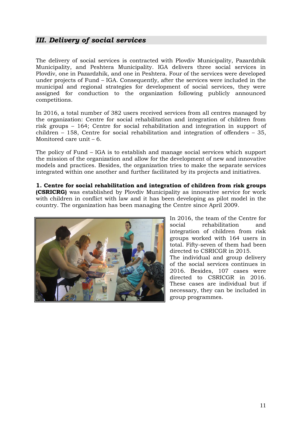# *ІІI. Delivery of social services*

The delivery of social services is contracted with Plovdiv Municipality, Pazardzhik Municipality, and Peshtera Municipality. IGA delivers three social services in Plovdiv, one in Pazardzhik, and one in Peshtera. Four of the services were developed under projects of Fund – IGA. Consequently, after the services were included in the municipal and regional strategies for development of social services, they were assigned for conduction to the organization following publicly announced competitions.

In 2016, a total number of 382 users received services from all centres managed by the organization: Centre for social rehabilitation and integration of children from risk groups – 164; Centre for social rehabilitation and integration in support of children – 158, Centre for social rehabilitation and integration of offenders – 35, Monitored care unit – 6.

The policy of Fund – IGA is to establish and manage social services which support the mission of the organization and allow for the development of new and innovative models and practices. Besides, the organization tries to make the separate services integrated within one another and further facilitated by its projects and initiatives.

**1. Centre for social rehabilitation and integration of children from risk groups (CSRICRG)** was established by Plovdiv Municipality as innovative service for work with children in conflict with law and it has been developing as pilot model in the country. The organization has been managing the Centre since April 2009.



In 2016, the team of the Centre for social rehabilitation and integration of children from risk groups worked with 164 users in total. Fifty-seven of them had been directed to CSRICGR in 2015. The individual and group delivery of the social services continues in 2016. Besides, 107 cases were directed to CSRICGR in 2016. These cases are individual but if necessary, they can be included in group programmes.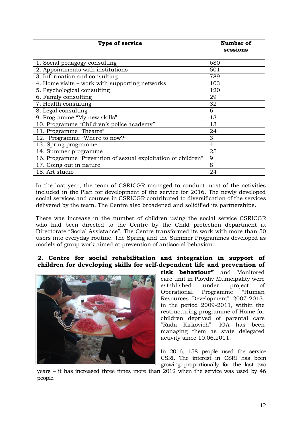| Type of service                                               | Number of<br>sessions |
|---------------------------------------------------------------|-----------------------|
| 1. Social pedagogy consulting                                 | 680                   |
| 2. Appointments with institutions                             | 501                   |
| 3. Information and consulting                                 | 789                   |
| 4. Home visits – work with supporting networks                | 103                   |
| 5. Psychological consulting                                   | 120                   |
| 6. Family consulting                                          | 29                    |
| 7. Health consulting                                          | 32                    |
| 8. Legal consulting                                           | 6                     |
| 9. Programme "My new skills"                                  | 13                    |
| 10. Programme "Children's police academy"                     | 13                    |
| 11. Programme "Theatre"                                       | 24                    |
| 12. "Programme "Where to now?"                                | 3                     |
| 13. Spring programme                                          | 4                     |
| 14. Summer programme                                          | 25                    |
| 16. Programme "Prevention of sexual exploitation of children" | 9                     |
| 17. Going out in nature                                       | 8                     |
| 18. Art studio                                                | 24                    |

In the last year, the team of CSRICGR managed to conduct most of the activities included in the Plan for development of the service for 2016. The newly developed social services and courses in CSRICGR contributed to diversification of the services delivered by the team. The Centre also broadened and solidified its partnerships.

There was increase in the number of children using the social service CSRICGR who had been directed to the Centre by the Child protection department at Directorate "Social Assistance". The Centre transformed its work with more than 50 users into everyday routine. The Spring and the Summer Programmes developed as models of group work aimed at prevention of antisocial behaviour.

# **2. Centre for social rehabilitation and integration in support of children for developing skills for self-dependent life and prevention of**



**risk behaviour"** and Monitored care unit in Plovdiv Municipality were established under project of Operational Programme "Human Resources Development" 2007-2013, in the period 2009-2011, within the restructuring programme of Home for children deprived of parental care "Rada Kirkovich". IGA has been managing them as state delegated activity since 10.06.2011.

In 2016, 158 people used the service CSRI. The interest in CSRI has been growing proportionally for the last two

years – it has increased three times more than 2012 when the service was used by 46 people.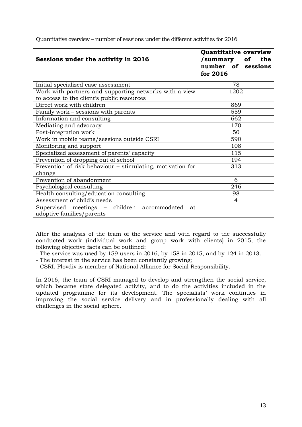| Sessions under the activity in 2016                                            | Quantitative overview<br>/summary<br><b>of</b><br>the<br>number of sessions<br>for 2016 |
|--------------------------------------------------------------------------------|-----------------------------------------------------------------------------------------|
| Initial specialized case assessment                                            | 78                                                                                      |
| Work with partners and supporting networks with a view                         | 1202                                                                                    |
| to access to the client's public resources                                     |                                                                                         |
| Direct work with children                                                      | 869                                                                                     |
| Family work - sessions with parents                                            | 559                                                                                     |
| Information and consulting                                                     | 662                                                                                     |
| Mediating and advocacy                                                         | 170                                                                                     |
| Post-integration work                                                          | 50                                                                                      |
| Work in mobile teams/sessions outside CSRI                                     | 590                                                                                     |
| Monitoring and support                                                         | 108                                                                                     |
| Specialized assessment of parents' capacity                                    | 115                                                                                     |
| Prevention of dropping out of school                                           | 194                                                                                     |
| Prevention of risk behaviour - stimulating, motivation for<br>change           | 313                                                                                     |
| Prevention of abandonment                                                      | 6                                                                                       |
| Psychological consulting                                                       | 246                                                                                     |
| Health consulting/education consulting                                         | 98                                                                                      |
| Assessment of child's needs                                                    | 4                                                                                       |
| Supervised meetings – children accommodated<br>at<br>adoptive families/parents |                                                                                         |
|                                                                                |                                                                                         |

Quantitative overview – number of sessions under the different activities for 2016

After the analysis of the team of the service and with regard to the successfully conducted work (individual work and group work with clients) in 2015, the following objective facts can be outlined:

- The service was used by 159 users in 2016, by 158 in 2015, and by 124 in 2013.

- The interest in the service has been constantly growing;

- CSRI, Plovdiv is member of National Alliance for Social Responsibility.

In 2016, the team of CSRI managed to develop and strengthen the social service, which became state delegated activity, and to do the activities included in the updated programme for its development. The specialists' work continues in improving the social service delivery and in professionally dealing with all challenges in the social sphere.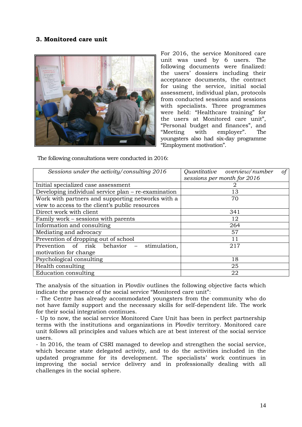# **3. Monitored care unit**



For 2016, the service Monitored care unit was used by 6 users. The following documents were finalized: the users' dossiers including their acceptance documents, the contract for using the service, initial social assessment, individual plan, protocols from conducted sessions and sessions with specialists. Three programmes were held: "Healthcare training" for the users at Monitored care unit", "Personal budget and finances", and "Meeting with employer". The youngsters also had six-day programme "Employment motivation".

The following consultations were conducted in 2016:

| Sessions under the activity/consulting 2016         | $\circ f$<br>Quantitative overview/number<br>sessions per month for 2016 |
|-----------------------------------------------------|--------------------------------------------------------------------------|
| Initial specialized case assessment                 |                                                                          |
| Developing individual service plan - re-examination | 13                                                                       |
| Work with partners and supporting networks with a   | 70                                                                       |
| view to access to the client's public resources     |                                                                          |
| Direct work with client                             | 341                                                                      |
| Family work – sessions with parents                 | 12                                                                       |
| Information and consulting                          | 264                                                                      |
| Mediating and advocacy                              | 57                                                                       |
| Prevention of dropping out of school                | 11                                                                       |
| Prevention of risk behavior<br>stimulation,         | 217                                                                      |
| motivation for change                               |                                                                          |
| Psychological consulting                            | 18                                                                       |
| Health consulting                                   | 25                                                                       |
| Education consulting                                | 22                                                                       |

The analysis of the situation in Plovdiv outlines the following objective facts which indicate the presence of the social service "Monitored care unit":

- The Centre has already accommodated youngsters from the community who do not have family support and the necessary skills for self-dependent life. The work for their social integration continues.

- Up to now, the social service Monitored Care Unit has been in perfect partnership terms with the institutions and organizations in Plovdiv territory. Monitored care unit follows all principles and values which are at best interest of the social service users.

- In 2016, the team of CSRI managed to develop and strengthen the social service, which became state delegated activity, and to do the activities included in the updated programme for its development. The specialists' work continues in improving the social service delivery and in professionally dealing with all challenges in the social sphere.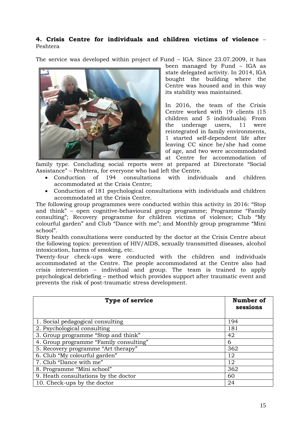# **4. Crisis Centre for individuals and children victims of violence** – Peshtera

The service was developed within project of Fund – IGA. Since 23.07.2009, it has



been managed by Fund – IGA as state delegated activity. In 2014, IGA bought the building where the Centre was housed and in this way its stability was maintained.

In 2016, the team of the Crisis Centre worked with 19 clients (15 children and 5 individuals). From the underage users, 11 were reintegrated in family environments, 1 started self-dependent life after leaving CC since he/she had come of age, and two were accommodated at Centre for accommodation of

family type. Concluding social reports were at prepared at Directorate "Social Assistance" – Peshtera, for everyone who had left the Centre.

- Conduction of 194 consultations with individuals and children accommodated at the Crisis Centre;
- Conduction of 181 psychological consultations with individuals and children accommodated at the Crisis Centre.

The following group programmes were conducted within this activity in 2016: "Stop and think" – open cognitive-behavioural group programme; Programme "Family consulting"; Recovery programme for children victims of violence; Club "My colourful garden" and Club "Dance with me"; and Monthly group programme "Mini school".

Sixty health consultations were conducted by the doctor at the Crisis Centre about the following topics: prevention of HIV/AIDS, sexually transmitted diseases, alcohol intoxication, harms of smoking, etc.

Twenty-four check-ups were conducted with the children and individuals accommodated at the Centre. The people accommodated at the Centre also had crisis intervention – individual and group. The team is trained to apply psychological debriefing – method which provides support after traumatic event and prevents the risk of post-traumatic stress development.

| <b>Type of service</b>                 | Number of<br>sessions |
|----------------------------------------|-----------------------|
| 1. Social pedagogical consulting       | 194                   |
| 2. Psychological consulting            | 181                   |
| 3. Group programme "Stop and think"    | 42                    |
| 4. Group programme "Family consulting" | 6                     |
| 5. Recovery programme "Art therapy"    | 362                   |
| 6. Club "My colourful garden"          | 12                    |
| 7. Club "Dance with me"                | 12                    |
| 8. Programme "Mini school"             | 362                   |
| 9. Heath consultations by the doctor   | 60                    |
| 10. Check-ups by the doctor            | 24                    |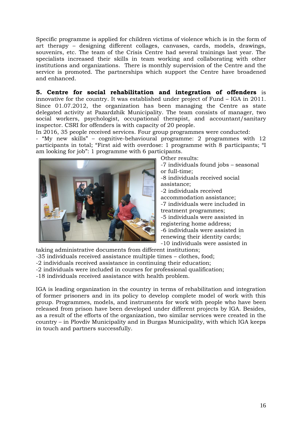Specific programme is applied for children victims of violence which is in the form of art therapy – designing different collages, canvases, cards, models, drawings, souvenirs, etc. The team of the Crisis Centre had several trainings last year. The specialists increased their skills in team working and collaborating with other institutions and organizations. There is monthly supervision of the Centre and the service is promoted. The partnerships which support the Centre have broadened and enhanced.

**5. Centre for social rehabilitation and integration of offenders** is innovative for the country. It was established under project of Fund – IGA in 2011. Since 01.07.2012, the organization has been managing the Centre as state delegated activity at Pazardzhik Municipality. The team consists of manager, two social workers, psychologist, occupational therapist, and accountant/sanitary inspector. CSRI for offenders is with capacity of 20 people.

In 2016, 35 people received services. Four group programmes were conducted:

- "My new skills" – cognitive-behavioural programme: 2 programmes with 12 participants in total; "First aid with overdose: 1 programme with 8 participants; "I am looking for job": 1 programme with 6 participants.



Other results:

-7 individuals found jobs – seasonal or full-time; -8 individuals received social

assistance; -2 individuals received

accommodation assistance;

-7 individuals were included in

treatment programmes;

-5 individuals were assisted in registering home address;

-6 individuals were assisted in

renewing their identity cards;

-10 individuals were assisted in

taking administrative documents from different institutions;

-35 individuals received assistance multiple times – clothes, food;

- -2 individuals received assistance in continuing their education;
- -2 individuals were included in courses for professional qualification;

-18 individuals received assistance with health problem.

IGA is leading organization in the country in terms of rehabilitation and integration of former prisoners and in its policy to develop complete model of work with this group. Programmes, models, and instruments for work with people who have been released from prison have been developed under different projects by IGA. Besides, as a result of the efforts of the organization, two similar services were created in the country – in Plovdiv Municipality and in Burgas Municipality, with which IGA keeps in touch and partners successfully.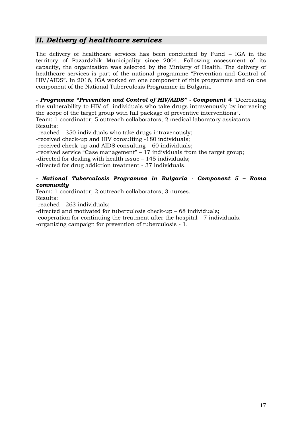# *ІІ. Delivery of healthcare services*

The delivery of healthcare services has been conducted by Fund – IGA in the territory of Pazardzhik Municipality since 2004. Following assessment of its capacity, the organization was selected by the Ministry of Health. The delivery of healthcare services is part of the national programme "Prevention and Control of HIV/AIDS". In 2016, IGA worked on one component of this programme and on one component of the National Tuberculosis Programme in Bulgaria.

- *Programme "Prevention and Control of HIV/AIDS" - Component 4* "Decreasing the vulnerability to HIV of individuals who take drugs intravenously by increasing the scope of the target group with full package of preventive interventions".

Team: 1 coordinator; 5 outreach collaborators; 2 medical laboratory assistants. Results:

-reached - 350 individuals who take drugs intravenously;

-received check-up and HIV consulting -180 individuals;

-received check-up and AIDS consulting – 60 individuals;

-received service "Case management" – 17 individuals from the target group;

-directed for dealing with health issue – 145 individuals;

-directed for drug addiction treatment - 37 individuals.

#### *- National Tuberculosis Programme in Bulgaria - Component 5 – Roma community*

Team: 1 coordinator; 2 outreach collaborators; 3 nurses. Results:

-reached - 263 individuals;

-directed and motivated for tuberculosis check-up – 68 individuals;

-cooperation for continuing the treatment after the hospital - 7 individuals.

-organizing campaign for prevention of tuberculosis - 1.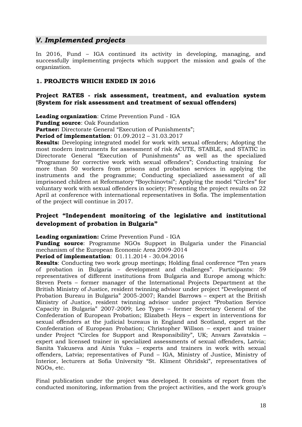# *V. Implemented projects*

In 2016, Fund – IGA continued its activity in developing, managing, and successfully implementing projects which support the mission and goals of the organization.

# **1. PROJECTS WHICH ENDED IN 2016**

# **Project RATES - risk assessment, treatment, and evaluation system (System for risk assessment and treatment of sexual offenders)**

**Leading organization**: Crime Prevention Fund - IGA

**Funding source**: Oak Foundation

**Partner:** Directorate General "Execution of Punishments";

**Period of implementation**: 01.09.2012 – 31.03.2017

**Results:** Developing integrated model for work with sexual offenders; Adopting the most modern instruments for assessment of risk ACUTE, STABLE, and STATIC in Directorate General "Execution of Punishments" as well as the specialized "Programme for corrective work with sexual offenders"; Conducting training for more than 50 workers from prisons and probation services in applying the instruments and the programme; Conducting specialized assessment of all imprisoned children at Reformatory "Boychinovtsi"; Applying the model "Circles" for voluntary work with sexual offenders in society; Presenting the project results on 22 April at conference with international representatives in Sofia. The implementation of the project will continue in 2017.

# **Project "Independent monitoring of the legislative and institutional development of probation in Bulgaria"**

**Leading organization:** Crime Prevention Fund - IGA

**Funding source**: Programme NGOs Support in Bulgaria under the Financial mechanism of the European Economic Area 2009-2014

**Period of implementation**: 01.11.2014 - 30.04.2016

**Results**: Conducting two work group meetings; Holding final conference "Ten years of probation in Bulgaria – development and challenges". Participants: 59 representatives of different institutions from Bulgaria and Europe among which: Steven Peets – former manager of the International Projects Department at the British Ministry of Justice, resident twinning advisor under project "Development of Probation Bureau in Bulgaria" 2005-2007; Randel Barrows – expert at the British Ministry of Justice, resident twinning advisor under project "Probation Service Capacity in Bulgaria" 2007-2009; Leo Tyges – former Secretary General of the Confederation of European Probation; Elizabeth Heys – expert in interventions for sexual offenders at the judicial bureaus in England and Scotland, expert at the Confederation of European Probation; Christopher Willson – expert and trainer under Project "Circles for Support and Responsibility", UK; Anvars Zavatskis – expert and licensed trainer in specialized assessments of sexual offenders, Latvia; Sanita Yakuseva and Ainis Yuks – experts and trainers in work with sexual offenders, Latvia; representatives of Fund – IGA, Ministry of Justice, Ministry of Interior, lecturers at Sofia University "St. Kliment Ohridski", representatives of NGOs, etc.

Final publication under the project was developed. It consists of report from the conducted monitoring, information from the project activities, and the work group's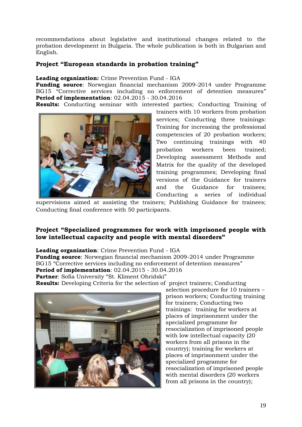recommendations about legislative and institutional changes related to the probation development in Bulgaria. The whole publication is both in Bulgarian and English.

# **Project "European standards in probation training"**

# **Leading organization:** Crime Prevention Fund - IGA

**Funding source**: Norwegian financial mechanism 2009-2014 under Programme BG15 "Corrective services including no enforcement of detention measures" **Period of implementation**: 02.04.2015 - 30.04.2016

**Results:** Conducting seminar with interested parties; Conducting Training of



trainers with 10 workers from probation services; Conducting three trainings: Training for increasing the professional competencies of 20 probation workers; Two continuing trainings with 40 probation workers been trained; Developing assessment Methods and Matrix for the quality of the developed training programmes; Developing final versions of the Guidance for trainers and the Guidance for trainees; Conducting a series of individual

supervisions aimed at assisting the trainers; Publishing Guidance for trainees; Conducting final conference with 50 participants.

# **Project "Specialized programmes for work with imprisoned people with low intellectual capacity and people with mental disorders"**

## **Leading organization**: Crime Prevention Fund - IGA

**Funding source**: Norwegian financial mechanism 2009-2014 under Programme BG15 "Corrective services including no enforcement of detention measures" **Period of implementation**: 02.04.2015 - 30.04.2016 **Partner**: Sofia University "St. Kliment Ohridski"

**Results:** Developing Criteria for the selection of project trainers; Conducting



selection procedure for 10 trainers – prison workers; Conducting training for trainers; Conducting two trainings: training for workers at places of imprisonment under the specialized programme for resocialization of imprisoned people with low intellectual capacity (20 workers from all prisons in the country); training for workers at places of imprisonment under the specialized programme for resocialization of imprisoned people with mental disorders (20 workers from all prisons in the country);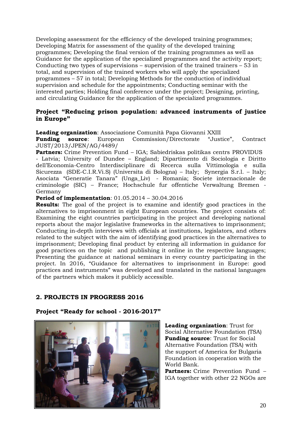Developing assessment for the efficiency of the developed training programmes; Developing Matrix for assessment of the quality of the developed training programmes; Developing the final version of the training programmes as well as Guidance for the application of the specialized programmes and the activity report; Conducting two types of supervisions – supervision of the trained trainers – 53 in total, and supervision of the trained workers who will apply the specialized programmes – 57 in total; Developing Methods for the conduction of individual supervision and schedule for the appointments; Conducting seminar with the interested parties; Holding final conference under the project; Designing, printing, and circulating Guidance for the application of the specialized programmes.

# **Project "Reducing prison population: advanced instruments of justice in Europe"**

**Leading organization**: Associazione Comunità Papa Giovanni XXIII

**Funding source**: European Commission/Directorate "Justice", Contract JUST/2013/JPEN/AG/4489/

**Partners:** Crime Prevention Fund – IGA; Sabiedriskas politikas centrs PROVIDUS - Latvia; University of Dundee – England; Dipartimento di Sociologia e Diritto dell'Economia-Centro Interdisciplinare di Recerca sulla Vittimologia e sulla Sicurezza (SDE-C.I.R.Vi.S) (Universita di Bologna) – Italy; Synergia S.r.l. – Italy; Asociata "Generatie Tanara" (Unga\_Liv) - Romania; Societe internacionale de criminologie (SIC) – France; Hochschule fur offentiche Verwaltung Bremen - Germany

**Period of implementation**: 01.05.2014 – 30.04.2016

**Results:** The goal of the project is to examine and identify good practices in the alternatives to imprisonment in eight European countries. The project consists of: Examining the eight countries participating in the project and developing national reports about the major legislative frameworks in the alternatives to imprisonment; Conducting in-depth interviews with officials at institutions, legislators, and others related to the subject with the aim of identifying good practices in the alternatives to imprisonment; Developing final product by entering all information in guidance for good practices on the topic and publishing it online in the respective languages; Presenting the guidance at national seminars in every country participating in the project. In 2016, "Guidance for alternatives to imprisonment in Europe: good practices and instruments" was developed and translated in the national languages of the partners which makes it publicly accessible.

# **2. PROJECTS IN PROGRESS 2016**

## **Project "Ready for school - 2016-2017"**



**Leading organization**: Trust for Social Alternative Foundation (TSA) **Funding source**: Trust for Social Alternative Foundation (TSA) with the support of America for Bulgaria Foundation in cooperation with the World Bank.

**Partners:** Crime Prevention Fund – IGA together with other 22 NGOs are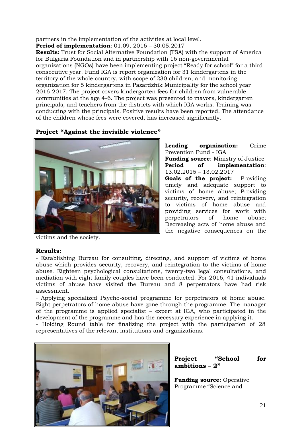partners in the implementation of the activities at local level. **Period of implementation**: 01.09. 2016 – 30.05.2017

**Results:** Trust for Social Alternative Foundation (TSA) with the support of America for Bulgaria Foundation and in partnership with 16 non-governmental organizations (NGOs) have been implementing project "Ready for school" for a third consecutive year. Fund IGA is report organization for 31 kindergartens in the territory of the whole country, with scope of 230 children, and monitoring organization for 5 kindergartens in Pazardzhik Municipality for the school year 2016-2017. The project covers kindergarten fees for children from vulnerable communities at the age 4-6. The project was presented to mayors, kindergarten principals, and teachers from the districts with which IGA works. Training was conducting with the principals. Positive results have been reported. The attendance of the children whose fees were covered, has increased significantly.

# **Project "Against the invisible violence"**



**Leading organization:** Crime Prevention Fund - IGA **Funding source**: Ministry of Justice **Period of implementation**: 13.02.2015 – 13.02.2017 **Goals of the project:** Providing timely and adequate support to victims of home abuse; Providing security, recovery, and reintegration to victims of home abuse and providing services for work with perpetrators of home abuse; Decreasing acts of home abuse and the negative consequences on the

victims and the society.

## **Results:**

- Establishing Bureau for consulting, directing, and support of victims of home abuse which provides security, recovery, and reintegration to the victims of home abuse. Eighteen psychological consultations, twenty-two legal consultations, and mediation with eight family couples have been conducted. For 2016, 41 individuals victims of abuse have visited the Bureau and 8 perpetrators have had risk assessment.

- Applying specialized Psycho-social programme for perpetrators of home abuse. Eight perpetrators of home abuse have gone through the programme. The manager of the programme is applied specialist – expert at IGA, who participated in the development of the programme and has the necessary experience in applying it.

- Holding Round table for finalizing the project with the participation of 28 representatives of the relevant institutions and organizations.





**Funding source:** Operative Programme "Science and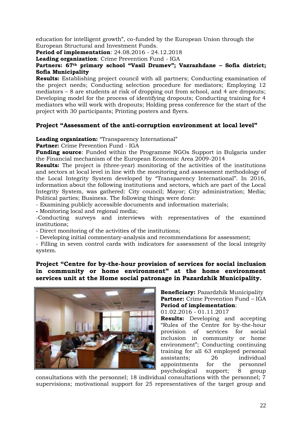education for intelligent growth", co-funded by the European Union through the European Structural and Investment Funds.

**Period of implementation**: 24.08.2016 - 24.12.2018

**Leading organization**: Crime Prevention Fund - IGA

## **Partners: 67th primary school "Vasil Drumev"; Vazrazhdane – Sofia district; Sofia Municipality**

**Results:** Establishing project council with all partners; Conducting examination of the project needs; Conducting selection procedure for mediators; Employing 12 mediators – 8 are students at risk of dropping out from school, and 4 are dropouts; Developing model for the process of identifying dropouts; Conducting training for 4 mediators who will work with dropouts; Holding press conference for the start of the project with 30 participants; Printing posters and flyers.

# **Project "Assessment of the anti-corruption environment at local level"**

**Leading organization:** "Transparency International"

**Partner:** Crime Prevention Fund - IGA

**Funding source**: Funded within the Programme NGOs Support in Bulgaria under the Financial mechanism of the European Economic Area 2009-2014

**Results:** The project is (three-year) monitoring of the activities of the institutions and sectors at local level in line with the monitoring and assessment methodology of the Local Integrity System developed by "Transparency International". In 2016, information about the following institutions and sectors, which are part of the Local Integrity System, was gathered: City council; Mayor; City administration; Media; Political parties; Business. The following things were done:

- Examining publicly accessible documents and information materials;

**-** Monitoring local and regional media;

-Conducting surveys and interviews with representatives of the examined institutions;

- Direct monitoring of the activities of the institutions;

- Developing initial commentary-analysis and recommendations for assessment;

- Filling in seven control cards with indicators for assessment of the local integrity system.

# **Project "Centre for by-the-hour provision of services for social inclusion in community or home environment" at the home environment services unit at the Home social patronage in Pazardzhik Municipality.**



**Beneficiary:** Pazardzhik Municipality **Partner:** Crime Prevention Fund – IGA **Period of implementation**:

01.02.2016 - 01.11.2017

**Results:** Developing and accepting "Rules of the Centre for by-the-hour provision of services for social inclusion in community or home environment"; Conducting continuing training for all 63 employed personal assistants; 26 individual appointments for the personnel psychological support; 8 group

consultations with the personnel; 18 individual consultations with the personnel; 7 supervisions; motivational support for 25 representatives of the target group and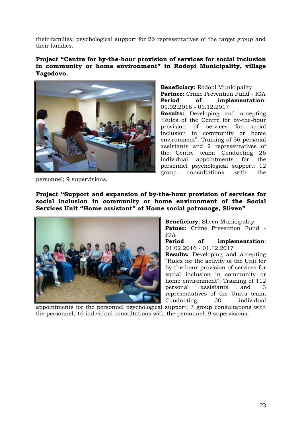their families; psychological support for 26 representatives of the target group and their families.

**Project "Centre for by-the-hour provision of services for social inclusion in community or home environment" in Rodopi Municipality, village Yagodovo.**



**Beneficiary:** Rodopi Municipality **Partner:** Crime Prevention Fund - IGA **Period of implementation**: 01.02.2016 - 01.12.2017 **Results:** Developing and accepting "Rules of the Centre for by-the-hour provision of services for social inclusion in community or home environment"; Training of 56 personal assistants and 2 representatives of the Centre team; Conducting 26 individual appointments for the personnel psychological support; 12 group consultations with the

personnel; 9 supervisions.

**Project "Support and expansion of by-the-hour provision of services for social inclusion in community or home environment of the Social Services Unit "Home assistant" at Home social patronage, Sliven"**



**Beneficiary**: Sliven Municipality **Patner:** Crime Prevention Fund - IGA **Period of implementation**: 01.02.2016 - 01.12.2017

**Results:** Developing and accepting "Rules for the activity of the Unit for by-the-hour provision of services for social inclusion in community or home environment"; Training of 112 personal assistants and 3 representatives of the Unit's team; Conducting 20 individual

appointments for the personnel psychological support; 7 group consultations with the personnel; 16 individual consultations with the personnel; 9 supervisions.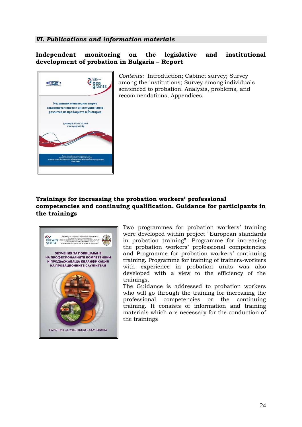# *VI. Publications and information materials*

# **Independent monitoring on the legislative and institutional development of probation in Bulgaria – Report**

|                                                                                                                                                                     | <b>ECELAND</b><br>LIECHTENSTEIN<br>eea<br>grants |
|---------------------------------------------------------------------------------------------------------------------------------------------------------------------|--------------------------------------------------|
| Независим мониторинг върху<br>законодателството и институционално<br>развитие на пробацията в България                                                              |                                                  |
| Договор № 197/31.10.2014<br>www.ngogrants.bg                                                                                                                        |                                                  |
|                                                                                                                                                                     |                                                  |
| Проектът се финансира в рамките на<br>Програмата за подкрепа на НПО в България<br>по Финансовия механизъм на Европейскити Икономическо пространство<br>2009-2014 г. |                                                  |

*Contents:* Introduction; Cabinet survey; Survey among the institutions; Survey among individuals sentenced to probation. Analysis, problems, and recommendations; Appendices.

# **Trainings for increasing the probation workers' professional competencies and continuing qualification. Guidance for participants in the trainings**



Two programmes for probation workers' training were developed within project "European standards in probation training": Programme for increasing the probation workers' professional competencies and Programme for probation workers' continuing training. Programme for training of trainers-workers with experience in probation units was also developed with a view to the efficiency of the trainings.

The Guidance is addressed to probation workers who will go through the training for increasing the professional competencies or the continuing training. It consists of information and training materials which are necessary for the conduction of the trainings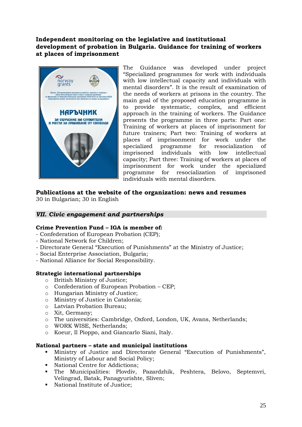# **Independent monitoring on the legislative and institutional development of probation in Bulgaria. Guidance for training of workers at places of imprisonment**



The Guidance was developed under project "Specialized programmes for work with individuals with low intellectual capacity and individuals with mental disorders". It is the result of examination of the needs of workers at prisons in the country. The main goal of the proposed education programme is to provide systematic, complex, and efficient approach in the training of workers. The Guidance presents the programme in three parts: Part one: Training of workers at places of imprisonment for future trainers; Part two: Training of workers at places of imprisonment for work under the specialized programme for resocialization of imprisoned individuals with low intellectual capacity; Part three: Training of workers at places of imprisonment for work under the specialized programme for resocialization of imprisoned individuals with mental disorders.

# **Publications at the website of the organization: news and resumes**

30 in Bulgarian; 30 in English

# *VІI. Civic engagement and partnerships*

## **Crime Prevention Fund – IGA is member of:**

- Confederation of European Probation (CEP);
- National Network for Children;
- Directorate General "Execution of Punishments" at the Ministry of Justice;
- Social Enterprise Association, Bulgaria;
- National Alliance for Social Responsibility.

## **Strategic international partnerships**

- o British Ministry of Justice;
- o Confederation of European Probation СЕР;
- o Hungarian Ministry of Justice;
- o Ministry of Justice in Catalonia;
- o Latvian Probation Bureau;
- o Хit, Germany;
- o The universities: Cambridge, Oxford, London, UK, Avans, Netherlands;
- o WORK WISE, Netherlands;
- o Кoeur, Il Pioppo, and Giancarlo Siani, Italy.

## **National partners – state and municipal institutions**

- Ministry of Justice and Directorate General "Execution of Punishments", Ministry of Labour and Social Policy;
- National Centre for Addictions:
- The Municipalities: Plovdiv, Pazardzhik, Peshtera, Belovo, Septemvri, Velingrad, Batak, Panagyurishte, Sliven;
- National Institute of Justice: